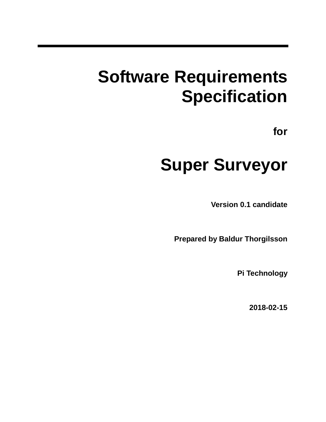# **Software Requirements Specification**

**for**

# **Super Surveyor**

**Version 0.1 candidate**

**Prepared by Baldur Thorgilsson**

**Pi Technology**

**2018-02-15**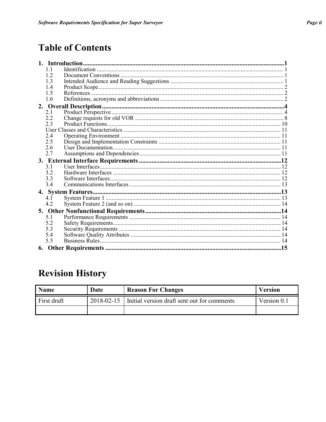# **Table of Contents**

|    |            | 1. Introduction |  |
|----|------------|-----------------|--|
|    | 11         |                 |  |
|    | 12         |                 |  |
|    | 1.3        |                 |  |
|    | 1.4        |                 |  |
|    | 1.5        |                 |  |
|    | 1.6        |                 |  |
| 2. |            |                 |  |
|    | 21         |                 |  |
|    | 2.2        |                 |  |
|    | 2.3        |                 |  |
|    |            |                 |  |
|    | 24         |                 |  |
|    | 2.5        |                 |  |
|    | 2.6        |                 |  |
|    | 2.7        |                 |  |
|    |            |                 |  |
|    |            |                 |  |
|    | 31         |                 |  |
|    | 3.2        |                 |  |
|    | 3.3        |                 |  |
|    | 3.4        |                 |  |
|    |            |                 |  |
|    | 41         |                 |  |
|    | 4.2        |                 |  |
|    |            |                 |  |
|    | 5.1        |                 |  |
|    | 5.2        |                 |  |
|    |            |                 |  |
|    | 5.3        |                 |  |
|    | 5.4<br>5.5 |                 |  |
| 6. |            |                 |  |

# **Revision History**

| <b>Name</b> | Date | <b>Reason For Changes</b>                                | <b>Version</b> |
|-------------|------|----------------------------------------------------------|----------------|
| First draft |      | 2018-02-15   Initial version draft sent out for comments | Version 0.1    |
|             |      |                                                          |                |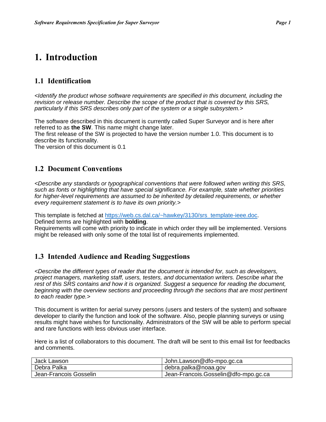## **1. Introduction**

## **1.1 Identification**

*<Identify the product whose software requirements are specified in this document, including the revision or release number. Describe the scope of the product that is covered by this SRS, particularly if this SRS describes only part of the system or a single subsystem.>*

The software described in this document is currently called Super Surveyor and is here after referred to as **the SW**. This name might change later.

The first release of the SW is projected to have the version number 1.0. This document is to describe its functionality.

The version of this document is 0.1

#### **1.2 Document Conventions**

*<Describe any standards or typographical conventions that were followed when writing this SRS, such as fonts or highlighting that have special significance. For example, state whether priorities for higher-level requirements are assumed to be inherited by detailed requirements, or whether every requirement statement is to have its own priority.>*

This template is fetched at [https://web.cs.dal.ca/~hawkey/3130/srs\\_template-ieee.doc.](https://web.cs.dal.ca/~hawkey/3130/srs_template-ieee.doc) Defined terms are highlighted with **bolding**.

Requirements will come with priority to indicate in which order they will be implemented. Versions might be released with only some of the total list of requirements implemented.

#### **1.3 Intended Audience and Reading Suggestions**

*<Describe the different types of reader that the document is intended for, such as developers, project managers, marketing staff, users, testers, and documentation writers. Describe what the rest of this SRS contains and how it is organized. Suggest a sequence for reading the document,*  beginning with the overview sections and proceeding through the sections that are most pertinent *to each reader type.>*

This document is written for aerial survey persons (users and testers of the system) and software developer to clarify the function and look of the software. Also, people planning surveys or using results might have wishes for functionality. Administrators of the SW will be able to perform special and rare functions with less obvious user interface.

Here is a list of collaborators to this document. The draft will be sent to this email list for feedbacks and comments.

| Jack Lawson            | John.Lawson@dfo-mpo.gc.ca            |
|------------------------|--------------------------------------|
| Debra Palka            | debra.palka@noaa.gov                 |
| Jean-Francois Gosselin | Jean-Francois.Gosselin@dfo-mpo.gc.ca |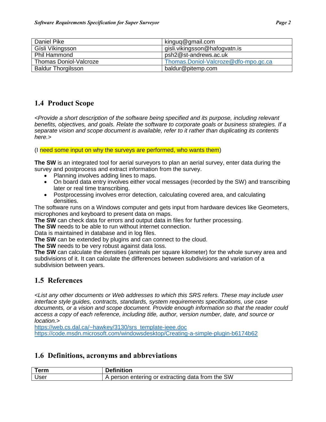| Daniel Pike               | kinguq@gmail.com                     |
|---------------------------|--------------------------------------|
| Gísli Víkingsson          | gisli.vikingsson@hafogvatn.is        |
| <b>Phil Hammond</b>       | psh2@st-andrews.ac.uk                |
| Thomas Doniol-Valcroze    | Thomas.Doniol-Valcroze@dfo-mpo.gc.ca |
| <b>Baldur Thorgilsson</b> | baldur@pitemp.com                    |

## **1.4 Product Scope**

*<Provide a short description of the software being specified and its purpose, including relevant benefits, objectives, and goals. Relate the software to corporate goals or business strategies. If a separate vision and scope document is available, refer to it rather than duplicating its contents here.>*

(I need some input on why the surveys are performed, who wants them)

**The SW** is an integrated tool for aerial surveyors to plan an aerial survey, enter data during the survey and postprocess and extract information from the survey.

- Planning involves adding lines to maps.
- On board data entry involves either vocal messages (recorded by the SW) and transcribing later or real time transcribing.
- Postprocessing involves error detection, calculating covered area, and calculating densities.

The software runs on a Windows computer and gets input from hardware devices like Geometers, microphones and keyboard to present data on maps.

**The SW** can check data for errors and output data in files for further processing.

**The SW** needs to be able to run without internet connection.

Data is maintained in database and in log files.

**The SW** can be extended by plugins and can connect to the cloud.

**The SW** needs to be very robust against data loss.

**The SW** can calculate the densities (animals per square kilometer) for the whole survey area and subdivisions of it. It can calculate the differences between subdivisions and variation of a subdivision between years.

## **1.5 References**

*<List any other documents or Web addresses to which this SRS refers. These may include user interface style guides, contracts, standards, system requirements specifications, use case documents, or a vision and scope document. Provide enough information so that the reader could access a copy of each reference, including title, author, version number, date, and source or location.>*

[https://web.cs.dal.ca/~hawkey/3130/srs\\_template-ieee.doc](https://web.cs.dal.ca/~hawkey/3130/srs_template-ieee.doc)

<https://code.msdn.microsoft.com/windowsdesktop/Creating-a-simple-plugin-b6174b62>

#### **1.6 Definitions, acronyms and abbreviations**

| Term | Definition                                       |
|------|--------------------------------------------------|
| User | A person entering or extracting data from the SW |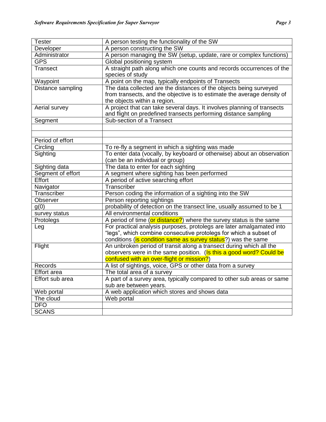| <b>Tester</b>        | A person testing the functionality of the SW                            |  |  |
|----------------------|-------------------------------------------------------------------------|--|--|
| Developer            | A person constructing the SW                                            |  |  |
| Administrator        | A person managing the SW (setup, update, rare or complex functions)     |  |  |
| <b>GPS</b>           | Global positioning system                                               |  |  |
| Transect             | A straight path along which one counts and records occurrences of the   |  |  |
|                      | species of study                                                        |  |  |
| Waypoint             | A point on the map, typically endpoints of Transects                    |  |  |
| Distance sampling    | The data collected are the distances of the objects being surveyed      |  |  |
|                      | from transects, and the objective is to estimate the average density of |  |  |
|                      | the objects within a region.                                            |  |  |
| <b>Aerial survey</b> | A project that can take several days. It involves planning of transects |  |  |
|                      | and flight on predefined transects performing distance sampling         |  |  |
| Segment              | Sub-section of a Transect                                               |  |  |
|                      |                                                                         |  |  |
|                      |                                                                         |  |  |
| Period of effort     |                                                                         |  |  |
| Circling             | To re-fly a segment in which a sighting was made                        |  |  |
| Sighting             | To enter data (vocally, by keyboard or otherwise) about an observation  |  |  |
|                      | (can be an individual or group)                                         |  |  |
| Sighting data        | The data to enter for each sighting                                     |  |  |
| Segment of effort    | A segment where sighting has been performed                             |  |  |
| Effort               | A period of active searching effort                                     |  |  |
| Navigator            | Transcriber                                                             |  |  |
| Transcriber          | Person coding the information of a sighting into the SW                 |  |  |
| Observer             | Person reporting sightings                                              |  |  |
| g(0)                 | probability of detection on the transect line, usually assumed to be 1  |  |  |
| survey status        | All environmental conditions                                            |  |  |
| Protolegs            | A period of time (or distance?) where the survey status is the same     |  |  |
| Leg                  | For practical analysis purposes, protolegs are later amalgamated into   |  |  |
|                      | "legs", which combine consecutive protolegs for which a subset of       |  |  |
|                      | conditions (is condition same as survey status?) was the same           |  |  |
| Flight               | An unbroken period of transit along a transect during which all the     |  |  |
|                      | observers were in the same position. (Is this a good word? Could be     |  |  |
|                      | confused with an over-flight or mission?)                               |  |  |
| Records              | A list of sightings, voice, GPS or other data from a survey             |  |  |
| <b>Effort</b> area   | The total area of a survey                                              |  |  |
| Effort sub area      | A part of a survey area, typically compared to other sub areas or same  |  |  |
|                      | sub are between years.                                                  |  |  |
| Web portal           | A web application which stores and shows data                           |  |  |
| The cloud            | Web portal                                                              |  |  |
| <b>DFO</b>           |                                                                         |  |  |
| <b>SCANS</b>         |                                                                         |  |  |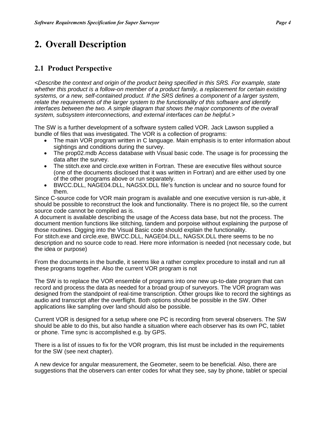# **2. Overall Description**

## **2.1 Product Perspective**

*<Describe the context and origin of the product being specified in this SRS. For example, state whether this product is a follow-on member of a product family, a replacement for certain existing systems, or a new, self-contained product. If the SRS defines a component of a larger system, relate the requirements of the larger system to the functionality of this software and identify interfaces between the two. A simple diagram that shows the major components of the overall system, subsystem interconnections, and external interfaces can be helpful.>*

The SW is a further development of a software system called VOR. Jack Lawson supplied a bundle of files that was investigated. The VOR is a collection of programs:

- The main VOR program written in C language. Main emphasis is to enter information about sightings and conditions during the survey.
- The prop02.mdb Access database with Visual basic code. The usage is for processing the data after the survey.
- The stitch.exe and circle.exe written in Fortran. These are executive files without source (one of the documents disclosed that it was written in Fortran) and are either used by one of the other programs above or run separately.
- BWCC.DLL, NAGE04.DLL, NAGSX.DLL file's function is unclear and no source found for them.

Since C-source code for VOR main program is available and one executive version is run-able, it should be possible to reconstruct the look and functionality. There is no project file, so the current source code cannot be compiled as is.

A document is available describing the usage of the Access data base, but not the process. The document mention functions like stitching, tandem and porpoise without explaining the purpose of those routines. Digging into the Visual Basic code should explain the functionality.

For stitch.exe and circle.exe*,* BWCC.DLL, NAGE04.DLL, NAGSX.DLL there seems to be no description and no source code to read. Here more information is needed (not necessary code, but the idea or purpose)

From the documents in the bundle, it seems like a rather complex procedure to install and run all these programs together. Also the current VOR program is not

The SW is to replace the VOR ensemble of programs into one new up-to-date program that can record and process the data as needed for a broad group of surveyors. The VOR program was designed from the standpoint of real-time transcription. Other groups like to record the sightings as audio and transcript after the overflight. Both options should be possible in the SW. Other applications like sampling over land should also be possible.

Current VOR is designed for a setup where one PC is recording from several observers. The SW should be able to do this, but also handle a situation where each observer has its own PC, tablet or phone. Time sync is accomplished e.g. by GPS.

There is a list of issues to fix for the VOR program, this list must be included in the requirements for the SW (see next chapter).

A new device for angular measurement, the Geometer, seem to be beneficial. Also, there are suggestions that the observers can enter codes for what they see, say by phone, tablet or special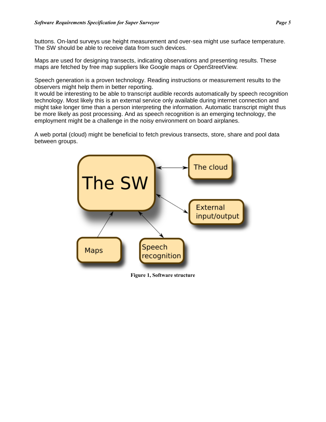buttons. On-land surveys use height measurement and over-sea might use surface temperature. The SW should be able to receive data from such devices.

Maps are used for designing transects, indicating observations and presenting results. These maps are fetched by free map suppliers like Google maps or OpenStreetView.

Speech generation is a proven technology. Reading instructions or measurement results to the observers might help them in better reporting.

It would be interesting to be able to transcript audible records automatically by speech recognition technology. Most likely this is an external service only available during internet connection and might take longer time than a person interpreting the information. Automatic transcript might thus be more likely as post processing. And as speech recognition is an emerging technology, the employment might be a challenge in the noisy environment on board airplanes.

A web portal (cloud) might be beneficial to fetch previous transects, store, share and pool data between groups.



**Figure 1, Software structure**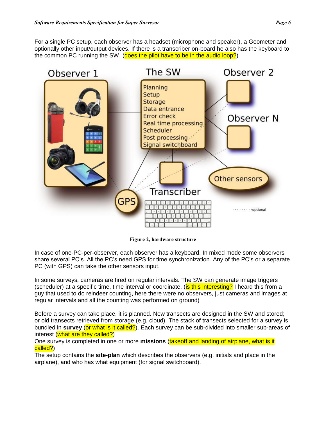For a single PC setup, each observer has a headset (microphone and speaker), a Geometer and optionally other input/output devices. If there is a transcriber on-board he also has the keyboard to the common PC running the SW. (does the pilot have to be in the audio loop?)



**Figure 2, hardware structure**

In case of one-PC-per-observer, each observer has a keyboard. In mixed mode some observers share several PC's. All the PC's need GPS for time synchronization. Any of the PC's or a separate PC (with GPS) can take the other sensors input.

In some surveys, cameras are fired on regular intervals. The SW can generate image triggers (scheduler) at a specific time, time interval or coordinate. (is this interesting? I heard this from a guy that used to do reindeer counting, here there were no observers, just cameras and images at regular intervals and all the counting was performed on ground)

Before a survey can take place, it is planned. New transects are designed in the SW and stored; or old transects retrieved from storage (e.g. cloud). The stack of transects selected for a survey is bundled in **survey** (or what is it called?). Each survey can be sub-divided into smaller sub-areas of interest (what are they called?)

One survey is completed in one or more **missions** (takeoff and landing of airplane, what is it called?)

The setup contains the **site-plan** which describes the observers (e.g. initials and place in the airplane), and who has what equipment (for signal switchboard).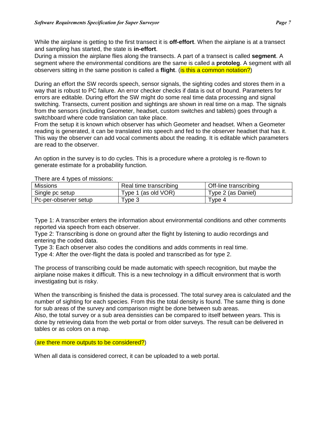While the airplane is getting to the first transect it is **off-effort**. When the airplane is at a transect and sampling has started, the state is **in-effort**.

During a mission the airplane flies along the transects. A part of a transect is called **segment**. A segment where the environmental conditions are the same is called a **protoleg**. A segment with all observers sitting in the same position is called a **flight**. (is this a common notation?)

During an effort the SW records speech, sensor signals, the sighting codes and stores them in a way that is robust to PC failure. An error checker checks if data is out of bound. Parameters for errors are editable. During effort the SW might do some real time data processing and signal switching. Transects, current position and sightings are shown in real time on a map. The signals from the sensors (including Geometer, headset, custom switches and tablets) goes through a switchboard where code translation can take place.

From the setup it is known which observer has which Geometer and headset. When a Geometer reading is generated, it can be translated into speech and fed to the observer headset that has it. This way the observer can add vocal comments about the reading. It is editable which parameters are read to the observer.

An option in the survey is to do cycles. This is a procedure where a protoleg is re-flown to generate estimate for a probability function.

There are 4 types of missions:

| <b>Missions</b>       | Real time transcribing | Off-line transcribing |
|-----------------------|------------------------|-----------------------|
| Single pc setup       | Type 1 (as old VOR)    | Type 2 (as Daniel)    |
| Pc-per-observer setup | ⊺vpe 3                 | $T$ vpe 4             |

Type 1: A transcriber enters the information about environmental conditions and other comments reported via speech from each observer.

Type 2: Transcribing is done on ground after the flight by listening to audio recordings and entering the coded data.

Type 3: Each observer also codes the conditions and adds comments in real time.

Type 4: After the over-flight the data is pooled and transcribed as for type 2.

The process of transcribing could be made automatic with speech recognition, but maybe the airplane noise makes it difficult. This is a new technology in a difficult environment that is worth investigating but is risky.

When the transcribing is finished the data is processed. The total survey area is calculated and the number of sighting for each species. From this the total density is found. The same thing is done for sub areas of the survey and comparison might be done between sub areas.

Also, the total survey or a sub area densisties can be compared to itself between years. This is done by retrieving data from the web portal or from older surveys. The result can be delivered in tables or as colors on a map.

(are there more outputs to be considered?)

When all data is considered correct, it can be uploaded to a web portal.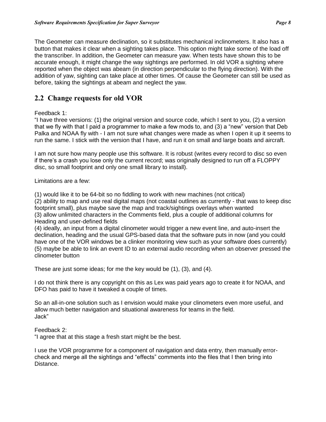The Geometer can measure declination, so it substitutes mechanical inclinometers. It also has a

button that makes it clear when a sighting takes place. This option might take some of the load off the transcriber. In addition, the Geometer can measure yaw. When tests have shown this to be accurate enough, it might change the way sightings are performed. In old VOR a sighting where reported when the object was abeam (in direction perpendicular to the flying direction). With the addition of yaw, sighting can take place at other times. Of cause the Geometer can still be used as before, taking the sightings at abeam and neglect the yaw.

## **2.2 Change requests for old VOR**

#### Feedback 1:

"I have three versions: (1) the original version and source code, which I sent to you, (2) a version that we fly with that I paid a programmer to make a few mods to, and (3) a "new" version that Deb Palka and NOAA fly with - I am not sure what changes were made as when I open it up it seems to run the same. I stick with the version that I have, and run it on small and large boats and aircraft.

I am not sure how many people use this software. It is robust (writes every record to disc so even if there's a crash you lose only the current record; was originally designed to run off a FLOPPY disc, so small footprint and only one small library to install).

Limitations are a few:

(1) would like it to be 64-bit so no fiddling to work with new machines (not critical)

(2) ability to map and use real digital maps (not coastal outlines as currently - that was to keep disc footprint small), plus maybe save the map and track/sightings overlays when wanted (3) allow unlimited characters in the Comments field, plus a couple of additional columns for Heading and user-defined fields

(4) ideally, an input from a digital clinometer would trigger a new event line, and auto-insert the declination, heading and the usual GPS-based data that the software puts in now (and you could have one of the VOR windows be a clinker monitoring view such as your software does currently) (5) maybe be able to link an event ID to an external audio recording when an observer pressed the clinometer button

These are just some ideas; for me the key would be (1), (3), and (4).

I do not think there is any copyright on this as Lex was paid years ago to create it for NOAA, and DFO has paid to have it tweaked a couple of times.

So an all-in-one solution such as I envision would make your clinometers even more useful, and allow much better navigation and situational awareness for teams in the field. Jack"

#### Feedback 2:

"I agree that at this stage a fresh start might be the best.

I use the VOR programme for a component of navigation and data entry, then manually errorcheck and merge all the sightings and "effects" comments into the files that I then bring into Distance.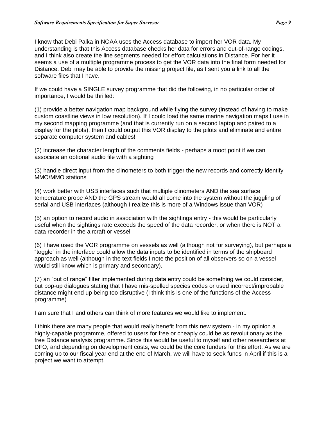I know that Debi Palka in NOAA uses the Access database to import her VOR data. My understanding is that this Access database checks her data for errors and out-of-range codings, and I think also create the line segments needed for effort calculations in Distance. For her it seems a use of a multiple programme process to get the VOR data into the final form needed for Distance. Debi may be able to provide the missing project file, as I sent you a link to all the software files that I have.

If we could have a SINGLE survey programme that did the following, in no particular order of importance, I would be thrilled:

(1) provide a better navigation map background while flying the survey (instead of having to make custom coastline views in low resolution). If I could load the same marine navigation maps I use in my second mapping programme (and that is currently run on a second laptop and paired to a display for the pilots), then I could output this VOR display to the pilots and eliminate and entire separate computer system and cables!

(2) increase the character length of the comments fields - perhaps a moot point if we can associate an optional audio file with a sighting

(3) handle direct input from the clinometers to both trigger the new records and correctly identify MMO/MMO stations

(4) work better with USB interfaces such that multiple clinometers AND the sea surface temperature probe AND the GPS stream would all come into the system without the juggling of serial and USB interfaces (although I realize this is more of a Windows issue than VOR)

(5) an option to record audio in association with the sightings entry - this would be particularly useful when the sightings rate exceeds the speed of the data recorder, or when there is NOT a data recorder in the aircraft or vessel

(6) I have used the VOR programme on vessels as well (although not for surveying), but perhaps a "toggle" in the interface could allow the data inputs to be identified in terms of the shipboard approach as well (although in the text fields I note the position of all observers so on a vessel would still know which is primary and secondary).

(7) an "out of range" filter implemented during data entry could be something we could consider, but pop-up dialogues stating that I have mis-spelled species codes or used incorrect/improbable distance might end up being too disruptive (I think this is one of the functions of the Access programme)

I am sure that I and others can think of more features we would like to implement.

I think there are many people that would really benefit from this new system - in my opinion a highly-capable programme, offered to users for free or cheaply could be as revolutionary as the free Distance analysis programme. Since this would be useful to myself and other researchers at DFO, and depending on development costs, we could be the core funders for this effort. As we are coming up to our fiscal year end at the end of March, we will have to seek funds in April if this is a project we want to attempt.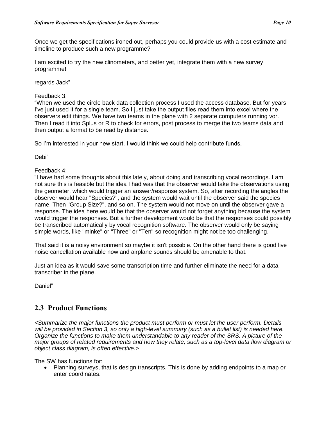Once we get the specifications ironed out, perhaps you could provide us with a cost estimate and timeline to produce such a new programme?

I am excited to try the new clinometers, and better yet, integrate them with a new survey programme!

regards Jack"

#### Feedback 3:

"When we used the circle back data collection process I used the access database. But for years I've just used it for a single team. So I just take the output files read them into excel where the observers edit things. We have two teams in the plane with 2 separate computers running vor. Then I read it into Splus or R to check for errors, post process to merge the two teams data and then output a format to be read by distance.

So I'm interested in your new start. I would think we could help contribute funds.

Debi"

#### Feedback 4:

"I have had some thoughts about this lately, about doing and transcribing vocal recordings. I am not sure this is feasible but the idea I had was that the observer would take the observations using the geometer, which would trigger an answer/response system. So, after recording the angles the observer would hear "Species?", and the system would wait until the observer said the species name. Then "Group Size?", and so on. The system would not move on until the observer gave a response. The idea here would be that the observer would not forget anything because the system would trigger the responses. But a further development would be that the responses could possibly be transcribed automatically by vocal recognition software. The observer would only be saying simple words, like "minke" or "Three" or "Ten" so recognition might not be too challenging.

That said it is a noisy environment so maybe it isn't possible. On the other hand there is good live noise cancellation available now and airplane sounds should be amenable to that.

Just an idea as it would save some transcription time and further eliminate the need for a data transcriber in the plane.

Daniel"

## **2.3 Product Functions**

*<Summarize the major functions the product must perform or must let the user perform. Details will be provided in Section 3, so only a high-level summary (such as a bullet list) is needed here. Organize the functions to make them understandable to any reader of the SRS. A picture of the major groups of related requirements and how they relate, such as a top-level data flow diagram or object class diagram, is often effective.>*

The SW has functions for:

• Planning surveys, that is design transcripts. This is done by adding endpoints to a map or enter coordinates.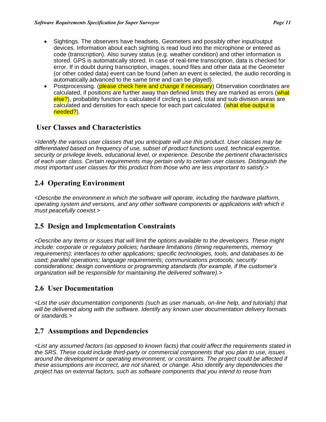- Sightings. The observers have headsets, Geometers and possibly other input/output devices. Information about each sighting is read loud into the microphone or entered as code (transcription). Also survey status (e.g. weather condition) and other information is stored. GPS is automatically stored. In case of real-time transcription, data is checked for error. If in doubt during transcription, images, sound files and other data at the Geometer (or other coded data) event can be found (when an event is selected, the audio recording is automatically advanced to the same time and can be played).
- Postprocessing. (please check here and change if necessary) Observation coordinates are calculated, if positions are further away than defined limits they are marked as errors (what else?), probability function is calculated if circling is used, total and sub division areas are calculated and densities for each specie for each part calculated. (what else output is needed?).

## **User Classes and Characteristics**

*<Identify the various user classes that you anticipate will use this product. User classes may be differentiated based on frequency of use, subset of product functions used, technical expertise, security or privilege levels, educational level, or experience. Describe the pertinent characteristics of each user class. Certain requirements may pertain only to certain user classes. Distinguish the most important user classes for this product from those who are less important to satisfy.>*

## **2.4 Operating Environment**

*<Describe the environment in which the software will operate, including the hardware platform, operating system and versions, and any other software components or applications with which it must peacefully coexist.>*

## **2.5 Design and Implementation Constraints**

*<Describe any items or issues that will limit the options available to the developers. These might include: corporate or regulatory policies; hardware limitations (timing requirements, memory requirements); interfaces to other applications; specific technologies, tools, and databases to be used; parallel operations; language requirements; communications protocols; security considerations; design conventions or programming standards (for example, if the customer's organization will be responsible for maintaining the delivered software).>*

## **2.6 User Documentation**

*<List the user documentation components (such as user manuals, on-line help, and tutorials) that will be delivered along with the software. Identify any known user documentation delivery formats or standards.>*

## **2.7 Assumptions and Dependencies**

*<List any assumed factors (as opposed to known facts) that could affect the requirements stated in the SRS. These could include third-party or commercial components that you plan to use, issues around the development or operating environment, or constraints. The project could be affected if these assumptions are incorrect, are not shared, or change. Also identify any dependencies the project has on external factors, such as software components that you intend to reuse from*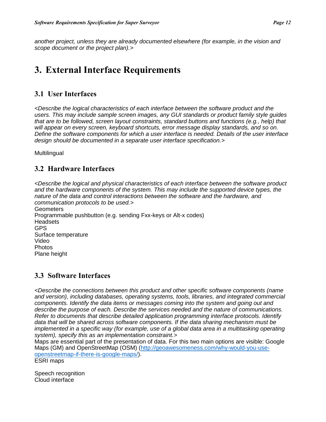*another project, unless they are already documented elsewhere (for example, in the vision and scope document or the project plan).>*

# **3. External Interface Requirements**

### **3.1 User Interfaces**

*<Describe the logical characteristics of each interface between the software product and the users. This may include sample screen images, any GUI standards or product family style guides that are to be followed, screen layout constraints, standard buttons and functions (e.g., help) that will appear on every screen, keyboard shortcuts, error message display standards, and so on. Define the software components for which a user interface is needed. Details of the user interface design should be documented in a separate user interface specification.>*

**Multilingual** 

#### **3.2 Hardware Interfaces**

*<Describe the logical and physical characteristics of each interface between the software product and the hardware components of the system. This may include the supported device types, the nature of the data and control interactions between the software and the hardware, and communication protocols to be used.>* **Geometers** Programmable pushbutton (e.g. sending Fxx-keys or Alt-x codes) **Headsets** GPS Surface temperature Video Photos Plane height

#### **3.3 Software Interfaces**

*<Describe the connections between this product and other specific software components (name and version), including databases, operating systems, tools, libraries, and integrated commercial components. Identify the data items or messages coming into the system and going out and describe the purpose of each. Describe the services needed and the nature of communications. Refer to documents that describe detailed application programming interface protocols. Identify data that will be shared across software components. If the data sharing mechanism must be implemented in a specific way (for example, use of a global data area in a multitasking operating system), specify this as an implementation constraint.>*

Maps are essential part of the presentation of data. For this two main options are visible: Google Maps (GM) and OpenStreetMap (OSM) [\(http://geoawesomeness.com/why-would-you-use](http://geoawesomeness.com/why-would-you-use-openstreetmap-if-there-is-google-maps/)[openstreetmap-if-there-is-google-maps/\)](http://geoawesomeness.com/why-would-you-use-openstreetmap-if-there-is-google-maps/).

ESRI maps

Speech recognition Cloud interface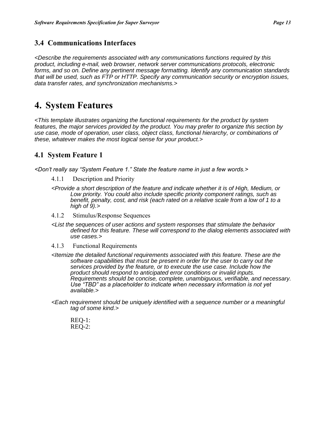## **3.4 Communications Interfaces**

*<Describe the requirements associated with any communications functions required by this product, including e-mail, web browser, network server communications protocols, electronic forms, and so on. Define any pertinent message formatting. Identify any communication standards that will be used, such as FTP or HTTP. Specify any communication security or encryption issues, data transfer rates, and synchronization mechanisms.>*

# **4. System Features**

*<This template illustrates organizing the functional requirements for the product by system features, the major services provided by the product. You may prefer to organize this section by use case, mode of operation, user class, object class, functional hierarchy, or combinations of these, whatever makes the most logical sense for your product.>*

## **4.1 System Feature 1**

*<Don't really say "System Feature 1." State the feature name in just a few words.>*

- 4.1.1 Description and Priority
- *<Provide a short description of the feature and indicate whether it is of High, Medium, or Low priority. You could also include specific priority component ratings, such as benefit, penalty, cost, and risk (each rated on a relative scale from a low of 1 to a high of 9).>*
- 4.1.2 Stimulus/Response Sequences
- *<List the sequences of user actions and system responses that stimulate the behavior defined for this feature. These will correspond to the dialog elements associated with use cases.>*
- 4.1.3 Functional Requirements
- *<Itemize the detailed functional requirements associated with this feature. These are the software capabilities that must be present in order for the user to carry out the services provided by the feature, or to execute the use case. Include how the product should respond to anticipated error conditions or invalid inputs. Requirements should be concise, complete, unambiguous, verifiable, and necessary. Use "TBD" as a placeholder to indicate when necessary information is not yet available.>*
- *<Each requirement should be uniquely identified with a sequence number or a meaningful tag of some kind.>*
	- REQ-1: REQ-2: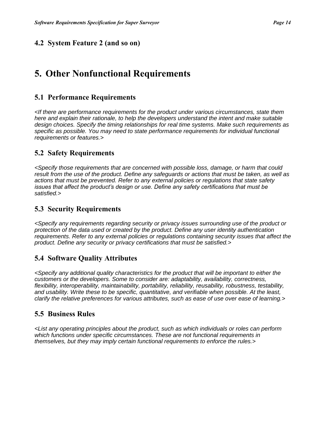#### **4.2 System Feature 2 (and so on)**

## **5. Other Nonfunctional Requirements**

#### **5.1 Performance Requirements**

*<If there are performance requirements for the product under various circumstances, state them here and explain their rationale, to help the developers understand the intent and make suitable design choices. Specify the timing relationships for real time systems. Make such requirements as specific as possible. You may need to state performance requirements for individual functional requirements or features.>*

#### **5.2 Safety Requirements**

*<Specify those requirements that are concerned with possible loss, damage, or harm that could result from the use of the product. Define any safeguards or actions that must be taken, as well as actions that must be prevented. Refer to any external policies or regulations that state safety issues that affect the product's design or use. Define any safety certifications that must be satisfied.>*

#### **5.3 Security Requirements**

*<Specify any requirements regarding security or privacy issues surrounding use of the product or protection of the data used or created by the product. Define any user identity authentication requirements. Refer to any external policies or regulations containing security issues that affect the product. Define any security or privacy certifications that must be satisfied.>*

#### **5.4 Software Quality Attributes**

*<Specify any additional quality characteristics for the product that will be important to either the customers or the developers. Some to consider are: adaptability, availability, correctness, flexibility, interoperability, maintainability, portability, reliability, reusability, robustness, testability, and usability. Write these to be specific, quantitative, and verifiable when possible. At the least, clarify the relative preferences for various attributes, such as ease of use over ease of learning.>*

#### **5.5 Business Rules**

*<List any operating principles about the product, such as which individuals or roles can perform which functions under specific circumstances. These are not functional requirements in themselves, but they may imply certain functional requirements to enforce the rules.>*